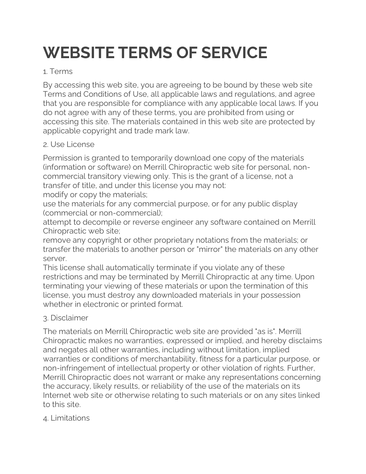# **WEBSITE TERMS OF SERVICE**

## 1. Terms

By accessing this web site, you are agreeing to be bound by these web site Terms and Conditions of Use, all applicable laws and regulations, and agree that you are responsible for compliance with any applicable local laws. If you do not agree with any of these terms, you are prohibited from using or accessing this site. The materials contained in this web site are protected by applicable copyright and trade mark law.

## 2. Use License

Permission is granted to temporarily download one copy of the materials (information or software) on Merrill Chiropractic web site for personal, noncommercial transitory viewing only. This is the grant of a license, not a transfer of title, and under this license you may not:

modify or copy the materials;

use the materials for any commercial purpose, or for any public display (commercial or non-commercial);

attempt to decompile or reverse engineer any software contained on Merrill Chiropractic web site;

remove any copyright or other proprietary notations from the materials; or transfer the materials to another person or "mirror" the materials on any other server.

This license shall automatically terminate if you violate any of these restrictions and may be terminated by Merrill Chiropractic at any time. Upon terminating your viewing of these materials or upon the termination of this license, you must destroy any downloaded materials in your possession whether in electronic or printed format.

## 3. Disclaimer

The materials on Merrill Chiropractic web site are provided "as is". Merrill Chiropractic makes no warranties, expressed or implied, and hereby disclaims and negates all other warranties, including without limitation, implied warranties or conditions of merchantability, fitness for a particular purpose, or non-infringement of intellectual property or other violation of rights. Further, Merrill Chiropractic does not warrant or make any representations concerning the accuracy, likely results, or reliability of the use of the materials on its Internet web site or otherwise relating to such materials or on any sites linked to this site.

#### 4. Limitations